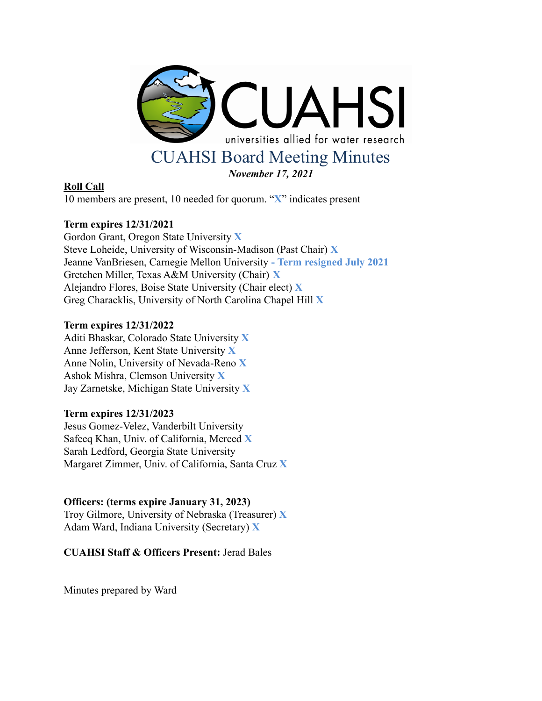

# **Roll Call**

10 members are present, 10 needed for quorum. "**X**" indicates present

# **Term expires 12/31/2021**

Gordon Grant, Oregon State University **X** Steve Loheide, University of Wisconsin-Madison (Past Chair) **X** Jeanne VanBriesen, Carnegie Mellon University **- Term resigned July 2021** Gretchen Miller, Texas A&M University (Chair) **X** Alejandro Flores, Boise State University (Chair elect) **X** Greg Characklis, University of North Carolina Chapel Hill **X**

## **Term expires 12/31/2022**

Aditi Bhaskar, Colorado State University **X** Anne Jefferson, Kent State University **X** Anne Nolin, University of Nevada-Reno **X** Ashok Mishra, Clemson University **X** Jay Zarnetske, Michigan State University **X**

# **Term expires 12/31/2023**

Jesus Gomez-Velez, Vanderbilt University Safeeq Khan, Univ. of California, Merced **X** Sarah Ledford, Georgia State University Margaret Zimmer, Univ. of California, Santa Cruz **X**

# **Officers: (terms expire January 31, 2023)**

Troy Gilmore, University of Nebraska (Treasurer) **X** Adam Ward, Indiana University (Secretary) **X**

**CUAHSI Staff & Officers Present:** Jerad Bales

Minutes prepared by Ward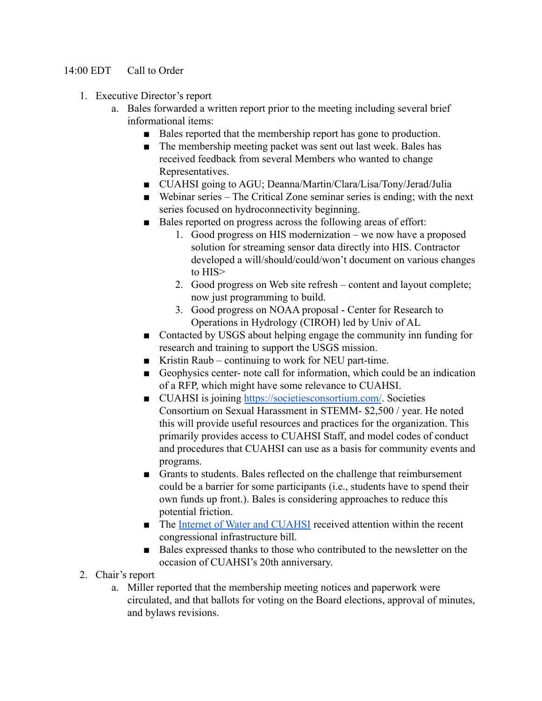# 14:00 EDT Call to Order

- 1. Executive Director's report
	- a. Bales forwarded a written report prior to the meeting including several brief informational items:
		- Bales reported that the membership report has gone to production.
		- The membership meeting packet was sent out last week. Bales has received feedback from several Members who wanted to change Representatives.
		- CUAHSI going to AGU; Deanna/Martin/Clara/Lisa/Tony/Jerad/Julia
		- Webinar series The Critical Zone seminar series is ending; with the next series focused on hydroconnectivity beginning.
		- Bales reported on progress across the following areas of effort:
			- 1. Good progress on HIS modernization we now have a proposed solution for streaming sensor data directly into HIS. Contractor developed a will/should/could/won't document on various changes to HIS>
			- 2. Good progress on Web site refresh content and layout complete; now just programming to build.
			- 3. Good progress on NOAA proposal Center for Research to Operations in Hydrology (CIROH) led by Univ of AL
		- Contacted by USGS about helping engage the community inn funding for research and training to support the USGS mission.
		- Kristin Raub continuing to work for NEU part-time.
		- Geophysics center- note call for information, which could be an indication of a RFP, which might have some relevance to CUAHSI.
		- CUAHSI is joining <https://societiesconsortium.com/>. Societies Consortium on Sexual Harassment in STEMM- \$2,500 / year. He noted this will provide useful resources and practices for the organization. This primarily provides access to CUAHSI Staff, and model codes of conduct and procedures that CUAHSI can use as a basis for community events and programs.
		- Grants to students. Bales reflected on the challenge that reimbursement could be a barrier for some participants (i.e., students have to spend their own funds up front.). Bales is considering approaches to reduce this potential friction.
		- The [Internet of Water and CUAHSI](https://today.duke.edu/2021/11/new-infrastructure-bill-gives-duke-based-program-national-role?utm_source=ActiveCampaign&utm_medium=email&utm_content=Supporting+the+Press+Club%3A+The+Firewall+%2A+We+Have+a+%28Compromise%29+Budget+%28Proposal%29+%2A+Dontae+Sharpe+Pardoned&utm_campaign=Daily+11+16+21) received attention within the recent congressional infrastructure bill.
		- Bales expressed thanks to those who contributed to the newsletter on the occasion of CUAHSI's 20th anniversary.
- 2. Chair's report
	- a. Miller reported that the membership meeting notices and paperwork were circulated, and that ballots for voting on the Board elections, approval of minutes, and bylaws revisions.